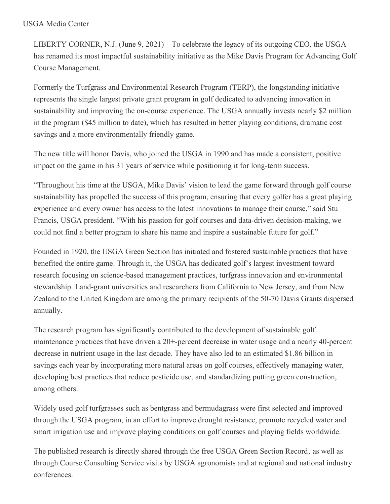## USGA Media Center

LIBERTY CORNER, N.J. (June 9, 2021) – To celebrate the legacy of its outgoing CEO, the USGA has renamed its most impactful sustainability initiative as the Mike Davis Program for Advancing Golf Course Management.

Formerly the Turfgrass and Environmental Research Program (TERP), the longstanding initiative represents the single largest private grant program in golf dedicated to advancing innovation in sustainability and improving the on-course experience. The USGA annually invests nearly \$2 million in the program (\$45 million to date), which has resulted in better playing conditions, dramatic cost savings and a more environmentally friendly game.

The new title will honor Davis, who joined the USGA in 1990 and has made a consistent, positive impact on the game in his 31 years of service while positioning it for long-term success.

"Throughout his time at the USGA, Mike Davis' vision to lead the game forward through golf course sustainability has propelled the success of this program, ensuring that every golfer has a great playing experience and every owner has access to the latest innovations to manage their course," said Stu Francis, USGA president. "With his passion for golf courses and data-driven decision-making, we could not find a better program to share his name and inspire a sustainable future for golf."

Founded in 1920, the USGA Green Section has initiated and fostered sustainable practices that have benefited the entire game. Through it, the USGA has dedicated golf's largest investment toward research focusing on science-based management practices, turfgrass innovation and environmental stewardship. Land-grant universities and researchers from California to New Jersey, and from New Zealand to the United Kingdom are among the primary recipients of the 50-70 Davis Grants dispersed annually.

The research program has significantly contributed to the development of sustainable golf maintenance practices that have driven a 20+-percent decrease in water usage and a nearly 40-percent decrease in nutrient usage in the last decade. They have also led to an estimated \$1.86 billion in savings each year by incorporating more natural areas on golf courses, effectively managing water, developing best practices that reduce pesticide use, and standardizing putting green construction, among others.

Widely used golf turfgrasses such as bentgrass and bermudagrass were first selected and improved through the USGA program, in an effort to improve drought resistance, promote recycled water and smart irrigation use and improve playing conditions on golf courses and playing fields worldwide.

The published research is directly shared through the free USGA Green Section Record*,* as well as through Course Consulting Service visits by USGA agronomists and at regional and national industry conferences.